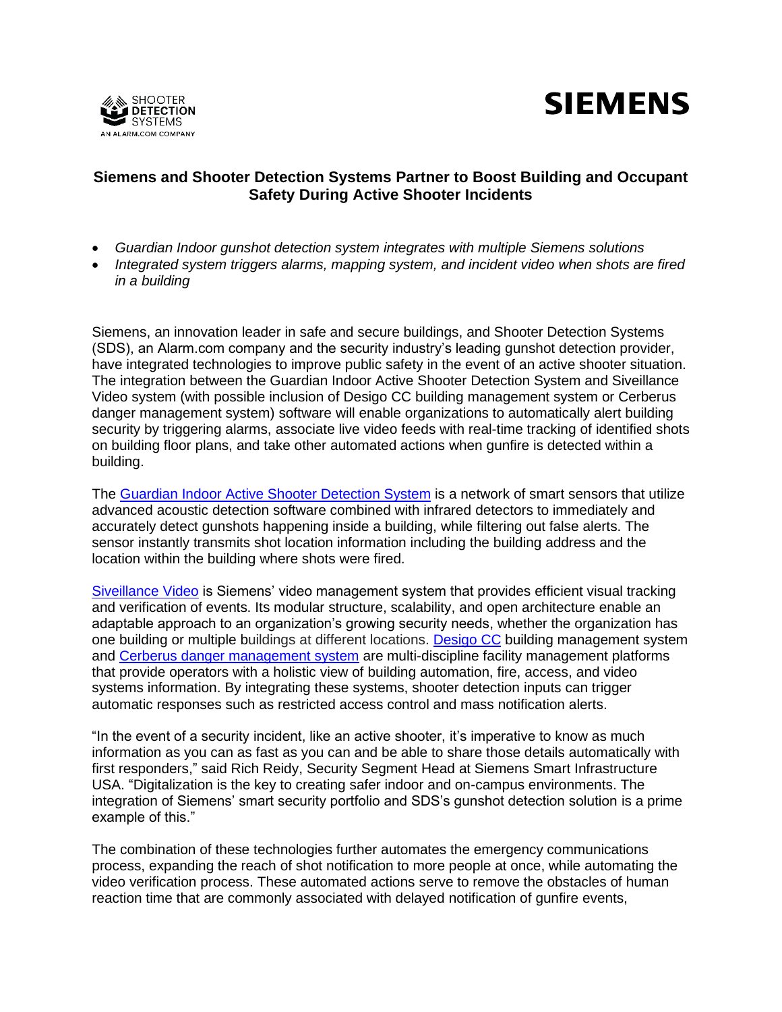



# **Siemens and Shooter Detection Systems Partner to Boost Building and Occupant Safety During Active Shooter Incidents**

- *Guardian Indoor gunshot detection system integrates with multiple Siemens solutions*
- *Integrated system triggers alarms, mapping system, and incident video when shots are fired in a building*

Siemens, an innovation leader in safe and secure buildings, and Shooter Detection Systems (SDS), an Alarm.com company and the security industry's leading gunshot detection provider, have integrated technologies to improve public safety in the event of an active shooter situation. The integration between the Guardian Indoor Active Shooter Detection System and Siveillance Video system (with possible inclusion of Desigo CC building management system or Cerberus danger management system) software will enable organizations to automatically alert building security by triggering alarms, associate live video feeds with real-time tracking of identified shots on building floor plans, and take other automated actions when gunfire is detected within a building.

The [Guardian Indoor Active Shooter Detection System](https://shooterdetectionsystems.com/indoor-detection/) is a network of smart sensors that utilize advanced acoustic detection software combined with infrared detectors to immediately and accurately detect gunshots happening inside a building, while filtering out false alerts. The sensor instantly transmits shot location information including the building address and the location within the building where shots were fired.

[Siveillance Video](https://new.siemens.com/us/en/products/buildingtechnologies/security/siveillance-video.html) is Siemens' video management system that provides efficient visual tracking and verification of events. Its modular structure, scalability, and open architecture enable an adaptable approach to an organization's growing security needs, whether the organization has one building or multiple buildings at different locations. [Desigo CC](https://new.siemens.com/us/en/products/buildingtechnologies/automation/desigo-cc.html) building management system and [Cerberus danger management system](https://new.siemens.com/us/en/products/buildingtechnologies/fire/fire-products-and-systems/danger-management/cerberus-dms.html) are multi-discipline facility management platforms that provide operators with a holistic view of building automation, fire, access, and video systems information. By integrating these systems, shooter detection inputs can trigger automatic responses such as restricted access control and mass notification alerts.

"In the event of a security incident, like an active shooter, it's imperative to know as much information as you can as fast as you can and be able to share those details automatically with first responders," said Rich Reidy, Security Segment Head at Siemens Smart Infrastructure USA. "Digitalization is the key to creating safer indoor and on-campus environments. The integration of Siemens' smart security portfolio and SDS's gunshot detection solution is a prime example of this."

The combination of these technologies further automates the emergency communications process, expanding the reach of shot notification to more people at once, while automating the video verification process. These automated actions serve to remove the obstacles of human reaction time that are commonly associated with delayed notification of gunfire events,